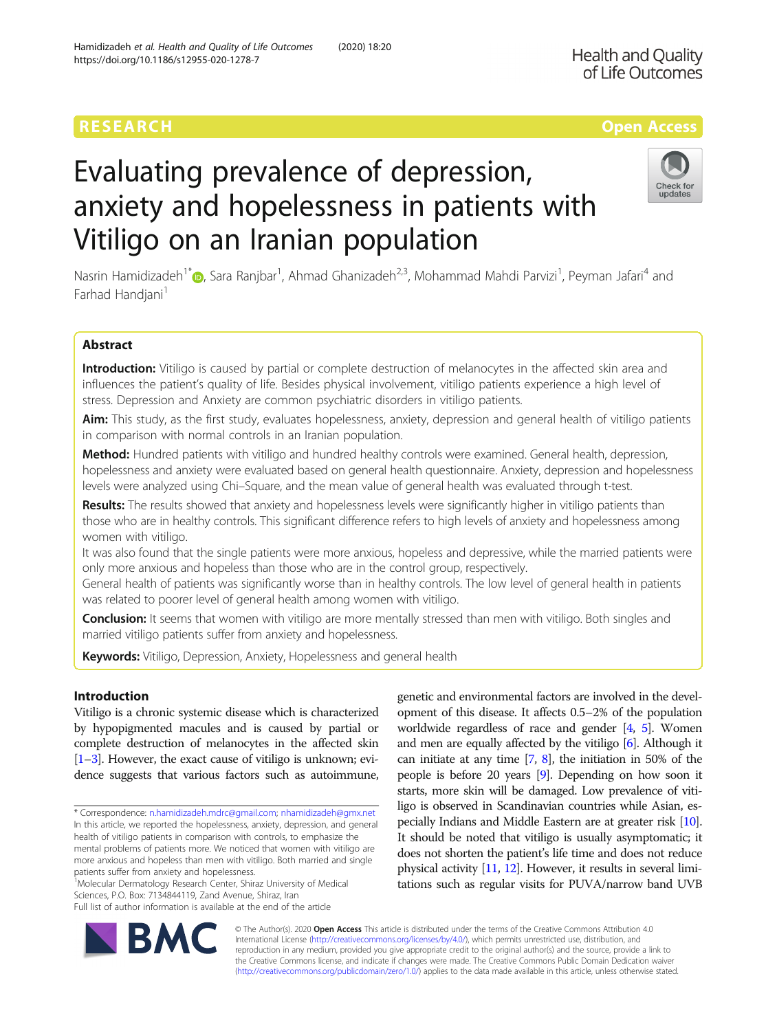# RESEARCH **RESEARCH CONSUMING THE CONSUMING TEACHER CONSUMING THE CONSUMING TEACHER CONSUMING THE CONSUMING TEACHER CONSUMING THE CONSUMING TEACHER CONSUMING THE CONSUMING TEACHER CONSUMING THE CONSUMING TEACHER CONSUMING**

# Evaluating prevalence of depression, anxiety and hopelessness in patients with Vitiligo on an Iranian population

Nasrin Hamidizadeh<sup>1[\\*](http://orcid.org/0000-0002-2670-7683)</sup>�, Sara Ranjbar<sup>1</sup>, Ahmad Ghanizadeh<sup>2,3</sup>, Mohammad Mahdi Parvizi<sup>1</sup>, Peyman Jafari<sup>4</sup> and Farhad Handjani<sup>1</sup>

# Abstract

Introduction: Vitiligo is caused by partial or complete destruction of melanocytes in the affected skin area and influences the patient's quality of life. Besides physical involvement, vitiligo patients experience a high level of stress. Depression and Anxiety are common psychiatric disorders in vitiligo patients.

Aim: This study, as the first study, evaluates hopelessness, anxiety, depression and general health of vitiligo patients in comparison with normal controls in an Iranian population.

Method: Hundred patients with vitiligo and hundred healthy controls were examined. General health, depression, hopelessness and anxiety were evaluated based on general health questionnaire. Anxiety, depression and hopelessness levels were analyzed using Chi–Square, and the mean value of general health was evaluated through t-test.

Results: The results showed that anxiety and hopelessness levels were significantly higher in vitiligo patients than those who are in healthy controls. This significant difference refers to high levels of anxiety and hopelessness among women with vitiligo.

It was also found that the single patients were more anxious, hopeless and depressive, while the married patients were only more anxious and hopeless than those who are in the control group, respectively.

General health of patients was significantly worse than in healthy controls. The low level of general health in patients was related to poorer level of general health among women with vitiligo.

Conclusion: It seems that women with vitiligo are more mentally stressed than men with vitiligo. Both singles and married vitiligo patients suffer from anxiety and hopelessness.

Keywords: Vitiligo, Depression, Anxiety, Hopelessness and general health

# Introduction

Vitiligo is a chronic systemic disease which is characterized by hypopigmented macules and is caused by partial or complete destruction of melanocytes in the affected skin [[1](#page-5-0)–[3\]](#page-5-0). However, the exact cause of vitiligo is unknown; evidence suggests that various factors such as autoimmune,

\* Correspondence: [n.hamidizadeh.mdrc@gmail.com;](mailto:n.hamidizadeh.mdrc@gmail.com) [nhamidizadeh@gmx.net](mailto:nhamidizadeh@gmx.net) In this article, we reported the hopelessness, anxiety, depression, and general health of vitiligo patients in comparison with controls, to emphasize the mental problems of patients more. We noticed that women with vitiligo are more anxious and hopeless than men with vitiligo. Both married and single patients suffer from anxiety and hopelessness.

<sup>1</sup> Molecular Dermatology Research Center, Shiraz University of Medical Sciences, P.O. Box: 7134844119, Zand Avenue, Shiraz, Iran Full list of author information is available at the end of the article

and men are equally affected by the vitiligo [[6](#page-5-0)]. Although it can initiate at any time [\[7,](#page-5-0) [8](#page-5-0)], the initiation in 50% of the people is before 20 years [\[9\]](#page-5-0). Depending on how soon it starts, more skin will be damaged. Low prevalence of vitiligo is observed in Scandinavian countries while Asian, especially Indians and Middle Eastern are at greater risk [\[10](#page-5-0)]. It should be noted that vitiligo is usually asymptomatic; it does not shorten the patient's life time and does not reduce physical activity [\[11,](#page-5-0) [12\]](#page-5-0). However, it results in several limitations such as regular visits for PUVA/narrow band UVB

genetic and environmental factors are involved in the development of this disease. It affects 0.5–2% of the population worldwide regardless of race and gender [\[4](#page-5-0), [5\]](#page-5-0). Women

© The Author(s). 2020 **Open Access** This article is distributed under the terms of the Creative Commons Attribution 4.0 International License [\(http://creativecommons.org/licenses/by/4.0/](http://creativecommons.org/licenses/by/4.0/)), which permits unrestricted use, distribution, and reproduction in any medium, provided you give appropriate credit to the original author(s) and the source, provide a link to the Creative Commons license, and indicate if changes were made. The Creative Commons Public Domain Dedication waiver [\(http://creativecommons.org/publicdomain/zero/1.0/](http://creativecommons.org/publicdomain/zero/1.0/)) applies to the data made available in this article, unless otherwise stated.



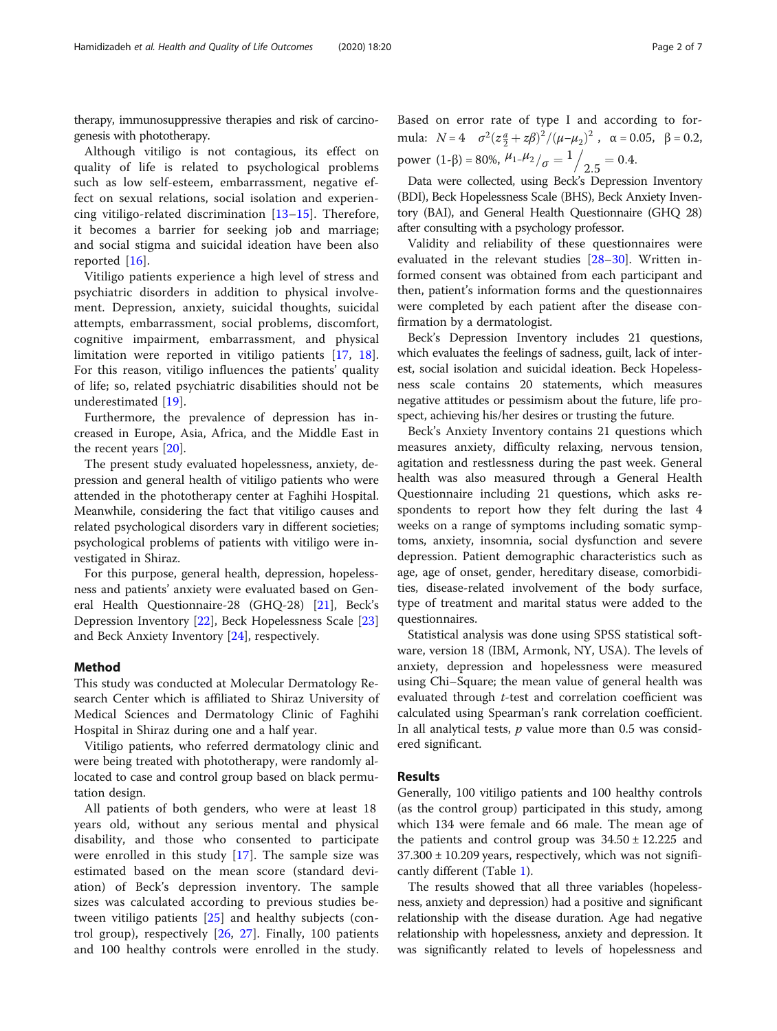therapy, immunosuppressive therapies and risk of carcinogenesis with phototherapy.

Although vitiligo is not contagious, its effect on quality of life is related to psychological problems such as low self-esteem, embarrassment, negative effect on sexual relations, social isolation and experiencing vitiligo-related discrimination [\[13](#page-5-0)–[15](#page-5-0)]. Therefore, it becomes a barrier for seeking job and marriage; and social stigma and suicidal ideation have been also reported [\[16](#page-5-0)].

Vitiligo patients experience a high level of stress and psychiatric disorders in addition to physical involvement. Depression, anxiety, suicidal thoughts, suicidal attempts, embarrassment, social problems, discomfort, cognitive impairment, embarrassment, and physical limitation were reported in vitiligo patients [\[17,](#page-5-0) [18](#page-5-0)]. For this reason, vitiligo influences the patients' quality of life; so, related psychiatric disabilities should not be underestimated [\[19](#page-5-0)].

Furthermore, the prevalence of depression has increased in Europe, Asia, Africa, and the Middle East in the recent years [[20](#page-5-0)].

The present study evaluated hopelessness, anxiety, depression and general health of vitiligo patients who were attended in the phototherapy center at Faghihi Hospital. Meanwhile, considering the fact that vitiligo causes and related psychological disorders vary in different societies; psychological problems of patients with vitiligo were investigated in Shiraz.

For this purpose, general health, depression, hopelessness and patients' anxiety were evaluated based on General Health Questionnaire-28 (GHQ-28) [\[21](#page-5-0)], Beck's Depression Inventory [\[22](#page-5-0)], Beck Hopelessness Scale [[23](#page-6-0)] and Beck Anxiety Inventory [\[24](#page-6-0)], respectively.

## Method

This study was conducted at Molecular Dermatology Research Center which is affiliated to Shiraz University of Medical Sciences and Dermatology Clinic of Faghihi Hospital in Shiraz during one and a half year.

Vitiligo patients, who referred dermatology clinic and were being treated with phototherapy, were randomly allocated to case and control group based on black permutation design.

All patients of both genders, who were at least 18 years old, without any serious mental and physical disability, and those who consented to participate were enrolled in this study [\[17](#page-5-0)]. The sample size was estimated based on the mean score (standard deviation) of Beck's depression inventory. The sample sizes was calculated according to previous studies between vitiligo patients [[25](#page-6-0)] and healthy subjects (control group), respectively [[26,](#page-6-0) [27\]](#page-6-0). Finally, 100 patients and 100 healthy controls were enrolled in the study. Based on error rate of type I and according to formula:  $N = 4 \quad \sigma^2 (z \frac{a}{2} + z \beta)^2 / (\mu - \mu_2)^2$ ,  $\alpha = 0.05$ ,  $\beta = 0.2$ , power (1-β) = 80%,  $\mu_1 \mu_2 / \sigma = \frac{1}{2.5} = 0.4$ .

Data were collected, using Beck's Depression Inventory (BDI), Beck Hopelessness Scale (BHS), Beck Anxiety Inventory (BAI), and General Health Questionnaire (GHQ 28) after consulting with a psychology professor.

Validity and reliability of these questionnaires were evaluated in the relevant studies [[28](#page-6-0)–[30](#page-6-0)]. Written informed consent was obtained from each participant and then, patient's information forms and the questionnaires were completed by each patient after the disease confirmation by a dermatologist.

Beck's Depression Inventory includes 21 questions, which evaluates the feelings of sadness, guilt, lack of interest, social isolation and suicidal ideation. Beck Hopelessness scale contains 20 statements, which measures negative attitudes or pessimism about the future, life prospect, achieving his/her desires or trusting the future.

Beck's Anxiety Inventory contains 21 questions which measures anxiety, difficulty relaxing, nervous tension, agitation and restlessness during the past week. General health was also measured through a General Health Questionnaire including 21 questions, which asks respondents to report how they felt during the last 4 weeks on a range of symptoms including somatic symptoms, anxiety, insomnia, social dysfunction and severe depression. Patient demographic characteristics such as age, age of onset, gender, hereditary disease, comorbidities, disease-related involvement of the body surface, type of treatment and marital status were added to the questionnaires.

Statistical analysis was done using SPSS statistical software, version 18 (IBM, Armonk, NY, USA). The levels of anxiety, depression and hopelessness were measured using Chi–Square; the mean value of general health was evaluated through t-test and correlation coefficient was calculated using Spearman's rank correlation coefficient. In all analytical tests,  $p$  value more than 0.5 was considered significant.

# Results

Generally, 100 vitiligo patients and 100 healthy controls (as the control group) participated in this study, among which 134 were female and 66 male. The mean age of the patients and control group was  $34.50 \pm 12.225$  and  $37.300 \pm 10.209$  years, respectively, which was not significantly different (Table [1\)](#page-2-0).

The results showed that all three variables (hopelessness, anxiety and depression) had a positive and significant relationship with the disease duration. Age had negative relationship with hopelessness, anxiety and depression. It was significantly related to levels of hopelessness and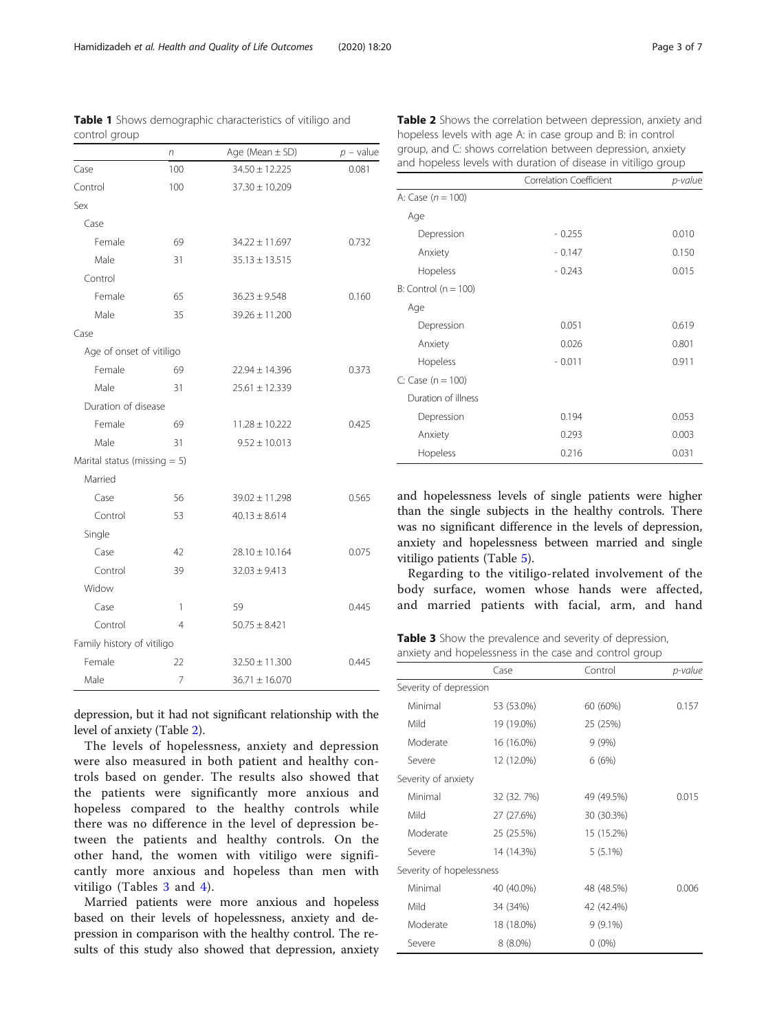depression, but it had not significant relationship with the level of anxiety (Table 2).

The levels of hopelessness, anxiety and depression were also measured in both patient and healthy controls based on gender. The results also showed that the patients were significantly more anxious and hopeless compared to the healthy controls while there was no difference in the level of depression between the patients and healthy controls. On the other hand, the women with vitiligo were significantly more anxious and hopeless than men with vitiligo (Tables 3 and [4\)](#page-3-0).

Married patients were more anxious and hopeless based on their levels of hopelessness, anxiety and depression in comparison with the healthy control. The results of this study also showed that depression, anxiety and hopelessness levels of single patients were higher than the single subjects in the healthy controls. There was no significant difference in the levels of depression, anxiety and hopelessness between married and single vitiligo patients (Table [5](#page-3-0)).

Regarding to the vitiligo-related involvement of the body surface, women whose hands were affected, and married patients with facial, arm, and hand

Table 3 Show the prevalence and severity of depression, anxiety and hopelessness in the case and control group

|                          | Case        | Control    | p-value |
|--------------------------|-------------|------------|---------|
| Severity of depression   |             |            |         |
| Minimal                  | 53 (53.0%)  | 60 (60%)   | 0.157   |
| Mild                     | 19 (19.0%)  | 25 (25%)   |         |
| Moderate                 | 16 (16.0%)  | 9(9%)      |         |
| Severe                   | 12 (12.0%)  | 6(6%)      |         |
| Severity of anxiety      |             |            |         |
| Minimal                  | 32 (32. 7%) | 49 (49.5%) | 0.015   |
| Mild                     | 27 (27.6%)  | 30 (30.3%) |         |
| Moderate                 | 25 (25.5%)  | 15 (15.2%) |         |
| Severe                   | 14 (14.3%)  | $5(5.1\%)$ |         |
| Severity of hopelessness |             |            |         |
| Minimal                  | 40 (40.0%)  | 48 (48.5%) | 0.006   |
| Mild                     | 34 (34%)    | 42 (42.4%) |         |
| Moderate                 | 18 (18.0%)  | $9(9.1\%)$ |         |
| Severe                   | $8(8.0\%)$  | $0(0\%)$   |         |

Table 1 Shows demographic characteristics of vitiligo and control group

<span id="page-2-0"></span>

| Hamidizadeh et al. Health and Quality of Life Outcomes | (2020) 18:20 |  |
|--------------------------------------------------------|--------------|--|
|                                                        |              |  |

|                                 | n              | Age (Mean $\pm$ SD) | $p$ – value |
|---------------------------------|----------------|---------------------|-------------|
| Case                            | 100            | $34.50 \pm 12.225$  | 0.081       |
| Control                         | 100            | $37.30 \pm 10.209$  |             |
| Sex                             |                |                     |             |
| Case                            |                |                     |             |
| Female                          | 69             | $34.22 \pm 11.697$  | 0.732       |
| Male                            | 31             | $35.13 \pm 13.515$  |             |
| Control                         |                |                     |             |
| Female                          | 65             | $36.23 \pm 9.548$   | 0.160       |
| Male                            | 35             | $39.26 \pm 11.200$  |             |
| Case                            |                |                     |             |
| Age of onset of vitiligo        |                |                     |             |
| Female                          | 69             | $22.94 \pm 14.396$  | 0.373       |
| Male                            | 31             | $25.61 \pm 12.339$  |             |
| Duration of disease             |                |                     |             |
| Female                          | 69             | $11.28 \pm 10.222$  | 0.425       |
| Male                            | 31             | $9.52 \pm 10.013$   |             |
| Marital status (missing $= 5$ ) |                |                     |             |
| Married                         |                |                     |             |
| Case                            | 56             | $39.02 \pm 11.298$  | 0.565       |
| Control                         | 53             | $40.13 \pm 8.614$   |             |
| Single                          |                |                     |             |
| Case                            | 42             | $28.10 \pm 10.164$  | 0.075       |
| Control                         | 39             | $32.03 \pm 9.413$   |             |
| Widow                           |                |                     |             |
| Case                            | 1              | 59                  | 0.445       |
| Control                         | $\overline{4}$ | $50.75 \pm 8.421$   |             |
| Family history of vitiligo      |                |                     |             |
| Female                          | 22             | $32.50 \pm 11.300$  | 0.445       |
| Male                            | 7              | $36.71 \pm 16.070$  |             |

| Table 2 Shows the correlation between depression, anxiety and  |
|----------------------------------------------------------------|
| hopeless levels with age A: in case group and B: in control    |
| group, and C: shows correlation between depression, anxiety    |
| and hopeless levels with duration of disease in vitiligo group |

Depression - 0.255 0.010 Anxiety **0.147** - 0.147 0.150 Hopeless - 0.243 0.015

Depression 0.051 0.619 Anxiety 0.026 0.801 Hopeless - 0.011 0.911

Depression 0.194 0.053 Anxiety 0.293 0.003 Hopeless 0.216 0.031

A: Case  $(n = 100)$ Age

 $B:$  Control ( $n = 100$ )

 $C: Case (n = 100)$ Duration of illness

Age

Correlation Coefficient *p-value*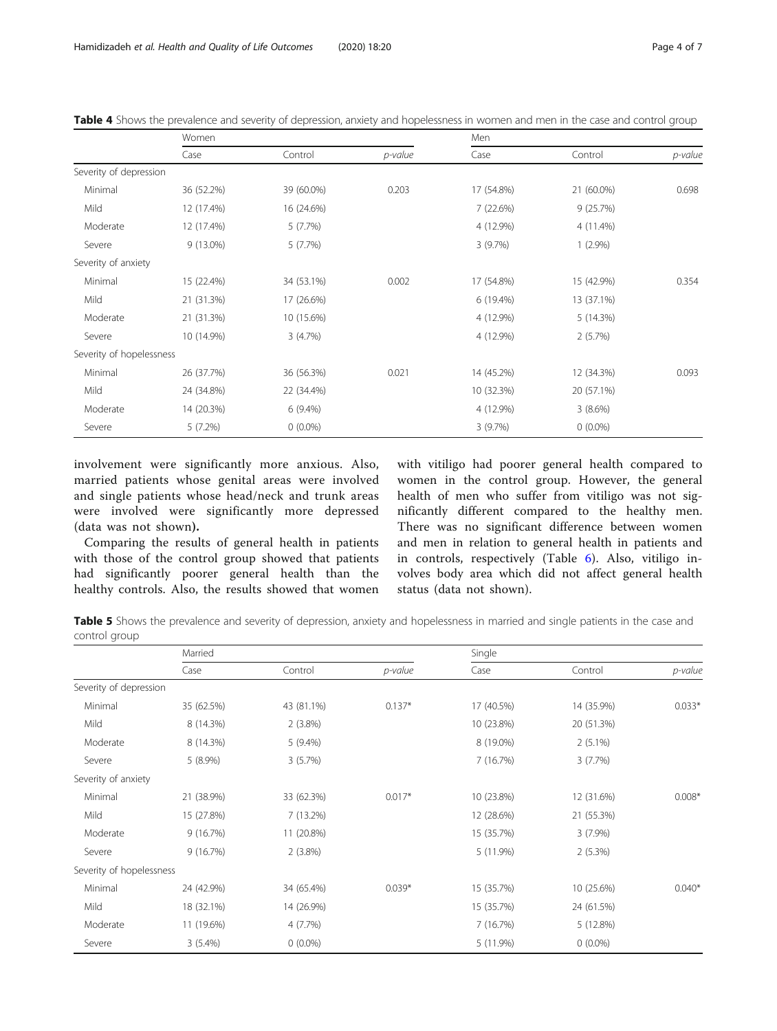|                          | Women       |            |         | Men        |            |         |
|--------------------------|-------------|------------|---------|------------|------------|---------|
|                          | Case        | Control    | p-value | Case       | Control    | p-value |
| Severity of depression   |             |            |         |            |            |         |
| Minimal                  | 36 (52.2%)  | 39 (60.0%) | 0.203   | 17 (54.8%) | 21 (60.0%) | 0.698   |
| Mild                     | 12 (17.4%)  | 16 (24.6%) |         | 7(22.6%)   | 9(25.7%)   |         |
| Moderate                 | 12 (17.4%)  | 5(7.7%)    |         | 4 (12.9%)  | 4 (11.4%)  |         |
| Severe                   | $9(13.0\%)$ | 5(7.7%)    |         | 3(9.7%)    | $1(2.9\%)$ |         |
| Severity of anxiety      |             |            |         |            |            |         |
| Minimal                  | 15 (22.4%)  | 34 (53.1%) | 0.002   | 17 (54.8%) | 15 (42.9%) | 0.354   |
| Mild                     | 21 (31.3%)  | 17 (26.6%) |         | 6 (19.4%)  | 13 (37.1%) |         |
| Moderate                 | 21 (31.3%)  | 10 (15.6%) |         | 4 (12.9%)  | 5(14.3%)   |         |
| Severe                   | 10 (14.9%)  | 3(4.7%)    |         | 4 (12.9%)  | 2(5.7%)    |         |
| Severity of hopelessness |             |            |         |            |            |         |
| Minimal                  | 26 (37.7%)  | 36 (56.3%) | 0.021   | 14 (45.2%) | 12 (34.3%) | 0.093   |
| Mild                     | 24 (34.8%)  | 22 (34.4%) |         | 10 (32.3%) | 20 (57.1%) |         |
| Moderate                 | 14 (20.3%)  | $6(9.4\%)$ |         | 4 (12.9%)  | 3(8.6%)    |         |
| Severe                   | 5(7.2%)     | $0(0.0\%)$ |         | 3(9.7%)    | $0(0.0\%)$ |         |

<span id="page-3-0"></span>Table 4 Shows the prevalence and severity of depression, anxiety and hopelessness in women and men in the case and control group

involvement were significantly more anxious. Also, married patients whose genital areas were involved and single patients whose head/neck and trunk areas were involved were significantly more depressed (data was not shown).

Comparing the results of general health in patients with those of the control group showed that patients had significantly poorer general health than the healthy controls. Also, the results showed that women with vitiligo had poorer general health compared to women in the control group. However, the general health of men who suffer from vitiligo was not significantly different compared to the healthy men. There was no significant difference between women and men in relation to general health in patients and in controls, respectively (Table [6\)](#page-4-0). Also, vitiligo involves body area which did not affect general health status (data not shown).

Table 5 Shows the prevalence and severity of depression, anxiety and hopelessness in married and single patients in the case and control group

|                          | Married    |            |          | Single     |            |          |
|--------------------------|------------|------------|----------|------------|------------|----------|
|                          | Case       | Control    | p-value  | Case       | Control    | p-value  |
| Severity of depression   |            |            |          |            |            |          |
| Minimal                  | 35 (62.5%) | 43 (81.1%) | $0.137*$ | 17 (40.5%) | 14 (35.9%) | $0.033*$ |
| Mild                     | 8 (14.3%)  | $2(3.8\%)$ |          | 10 (23.8%) | 20 (51.3%) |          |
| Moderate                 | 8 (14.3%)  | $5(9.4\%)$ |          | 8 (19.0%)  | $2(5.1\%)$ |          |
| Severe                   | $5(8.9\%)$ | 3(5.7%)    |          | 7 (16.7%)  | 3(7.7%)    |          |
| Severity of anxiety      |            |            |          |            |            |          |
| Minimal                  | 21 (38.9%) | 33 (62.3%) | $0.017*$ | 10 (23.8%) | 12 (31.6%) | $0.008*$ |
| Mild                     | 15 (27.8%) | 7 (13.2%)  |          | 12 (28.6%) | 21 (55.3%) |          |
| Moderate                 | 9(16.7%)   | 11 (20.8%) |          | 15 (35.7%) | $3(7.9\%)$ |          |
| Severe                   | 9(16.7%)   | $2(3.8\%)$ |          | 5 (11.9%)  | $2(5.3\%)$ |          |
| Severity of hopelessness |            |            |          |            |            |          |
| Minimal                  | 24 (42.9%) | 34 (65.4%) | $0.039*$ | 15 (35.7%) | 10 (25.6%) | $0.040*$ |
| Mild                     | 18 (32.1%) | 14 (26.9%) |          | 15 (35.7%) | 24 (61.5%) |          |
| Moderate                 | 11 (19.6%) | 4(7.7%)    |          | 7 (16.7%)  | 5 (12.8%)  |          |
| Severe                   | $3(5.4\%)$ | $0(0.0\%)$ |          | 5 (11.9%)  | $0(0.0\%)$ |          |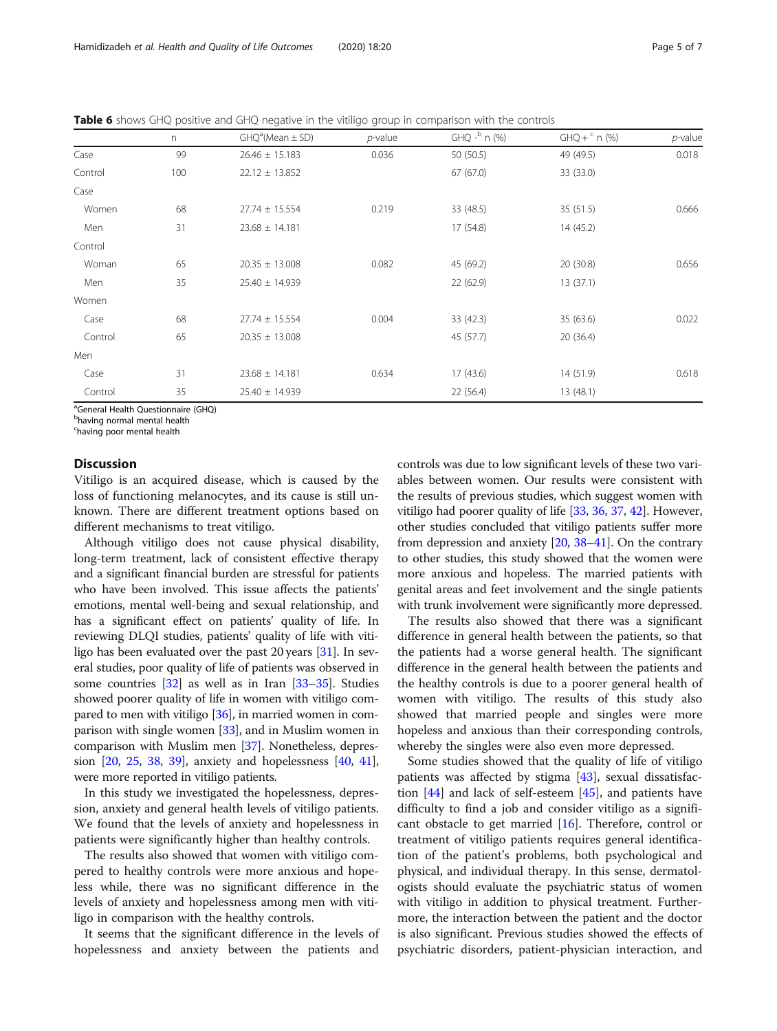<span id="page-4-0"></span>Table 6 shows GHQ positive and GHQ negative in the vitiligo group in comparison with the controls

|         | n   | $GHQa(Mean \pm SD)$ | $p$ -value | GHQ - <sup>b</sup> n (%) | $GHQ + c n (\%)$ | $p$ -value |
|---------|-----|---------------------|------------|--------------------------|------------------|------------|
| Case    | 99  | $26.46 \pm 15.183$  | 0.036      | 50 (50.5)                | 49 (49.5)        | 0.018      |
| Control | 100 | $22.12 \pm 13.852$  |            | 67(67.0)                 | 33 (33.0)        |            |
| Case    |     |                     |            |                          |                  |            |
| Women   | 68  | $27.74 \pm 15.554$  | 0.219      | 33 (48.5)                | 35(51.5)         | 0.666      |
| Men     | 31  | $23.68 \pm 14.181$  |            | 17(54.8)                 | 14(45.2)         |            |
| Control |     |                     |            |                          |                  |            |
| Woman   | 65  | $20.35 \pm 13.008$  | 0.082      | 45 (69.2)                | 20 (30.8)        | 0.656      |
| Men     | 35  | $25.40 \pm 14.939$  |            | 22(62.9)                 | 13(37.1)         |            |
| Women   |     |                     |            |                          |                  |            |
| Case    | 68  | $27.74 \pm 15.554$  | 0.004      | 33 (42.3)                | 35 (63.6)        | 0.022      |
| Control | 65  | $20.35 \pm 13.008$  |            | 45 (57.7)                | 20 (36.4)        |            |
| Men     |     |                     |            |                          |                  |            |
| Case    | 31  | $23.68 \pm 14.181$  | 0.634      | 17(43.6)                 | 14(51.9)         | 0.618      |
| Control | 35  | $25.40 \pm 14.939$  |            | 22(56.4)                 | 13(48.1)         |            |

<sup>a</sup>General Health Questionnaire (GHQ)

<sup>b</sup>having normal mental health

c having poor mental health

### **Discussion**

Vitiligo is an acquired disease, which is caused by the loss of functioning melanocytes, and its cause is still unknown. There are different treatment options based on different mechanisms to treat vitiligo.

Although vitiligo does not cause physical disability, long-term treatment, lack of consistent effective therapy and a significant financial burden are stressful for patients who have been involved. This issue affects the patients' emotions, mental well-being and sexual relationship, and has a significant effect on patients' quality of life. In reviewing DLQI studies, patients' quality of life with vitiligo has been evaluated over the past 20 years [\[31](#page-6-0)]. In several studies, poor quality of life of patients was observed in some countries [\[32\]](#page-6-0) as well as in Iran [[33](#page-6-0)–[35\]](#page-6-0). Studies showed poorer quality of life in women with vitiligo compared to men with vitiligo [\[36](#page-6-0)], in married women in comparison with single women [[33](#page-6-0)], and in Muslim women in comparison with Muslim men [[37](#page-6-0)]. Nonetheless, depression [[20](#page-5-0), [25,](#page-6-0) [38,](#page-6-0) [39](#page-6-0)], anxiety and hopelessness [\[40](#page-6-0), [41](#page-6-0)], were more reported in vitiligo patients.

In this study we investigated the hopelessness, depression, anxiety and general health levels of vitiligo patients. We found that the levels of anxiety and hopelessness in patients were significantly higher than healthy controls.

The results also showed that women with vitiligo compered to healthy controls were more anxious and hopeless while, there was no significant difference in the levels of anxiety and hopelessness among men with vitiligo in comparison with the healthy controls.

It seems that the significant difference in the levels of hopelessness and anxiety between the patients and controls was due to low significant levels of these two variables between women. Our results were consistent with the results of previous studies, which suggest women with vitiligo had poorer quality of life [[33](#page-6-0), [36,](#page-6-0) [37](#page-6-0), [42\]](#page-6-0). However, other studies concluded that vitiligo patients suffer more from depression and anxiety [\[20](#page-5-0), [38](#page-6-0)–[41](#page-6-0)]. On the contrary to other studies, this study showed that the women were more anxious and hopeless. The married patients with genital areas and feet involvement and the single patients with trunk involvement were significantly more depressed.

The results also showed that there was a significant difference in general health between the patients, so that the patients had a worse general health. The significant difference in the general health between the patients and the healthy controls is due to a poorer general health of women with vitiligo. The results of this study also showed that married people and singles were more hopeless and anxious than their corresponding controls, whereby the singles were also even more depressed.

Some studies showed that the quality of life of vitiligo patients was affected by stigma [[43\]](#page-6-0), sexual dissatisfaction  $[44]$  $[44]$  and lack of self-esteem  $[45]$  $[45]$ , and patients have difficulty to find a job and consider vitiligo as a significant obstacle to get married [[16\]](#page-5-0). Therefore, control or treatment of vitiligo patients requires general identification of the patient's problems, both psychological and physical, and individual therapy. In this sense, dermatologists should evaluate the psychiatric status of women with vitiligo in addition to physical treatment. Furthermore, the interaction between the patient and the doctor is also significant. Previous studies showed the effects of psychiatric disorders, patient-physician interaction, and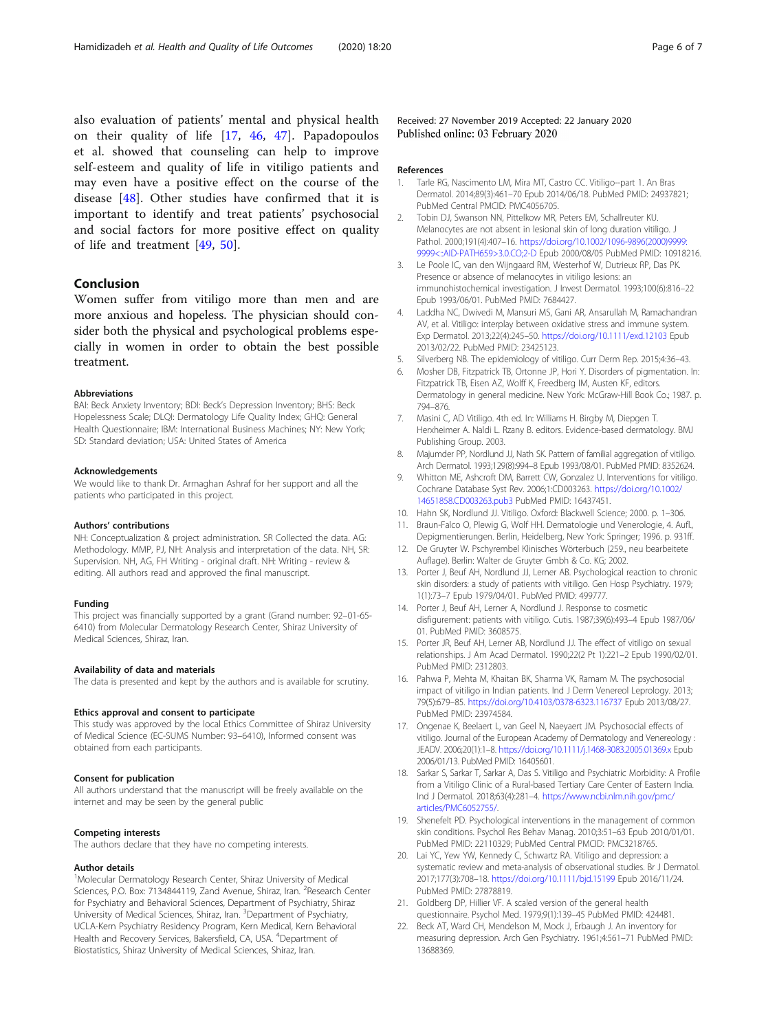<span id="page-5-0"></span>also evaluation of patients' mental and physical health on their quality of life [17, [46,](#page-6-0) [47](#page-6-0)]. Papadopoulos et al. showed that counseling can help to improve self-esteem and quality of life in vitiligo patients and may even have a positive effect on the course of the disease [\[48](#page-6-0)]. Other studies have confirmed that it is important to identify and treat patients' psychosocial and social factors for more positive effect on quality of life and treatment [[49,](#page-6-0) [50\]](#page-6-0).

# Conclusion

Women suffer from vitiligo more than men and are more anxious and hopeless. The physician should consider both the physical and psychological problems especially in women in order to obtain the best possible treatment.

#### Abbreviations

BAI: Beck Anxiety Inventory; BDI: Beck's Depression Inventory; BHS: Beck Hopelessness Scale; DLQI: Dermatology Life Quality Index; GHQ: General Health Questionnaire; IBM: International Business Machines; NY: New York; SD: Standard deviation; USA: United States of America

#### Acknowledgements

We would like to thank Dr. Armaghan Ashraf for her support and all the patients who participated in this project.

#### Authors' contributions

NH: Conceptualization & project administration. SR Collected the data. AG: Methodology. MMP, PJ, NH: Analysis and interpretation of the data. NH, SR: Supervision. NH, AG, FH Writing - original draft. NH: Writing - review & editing. All authors read and approved the final manuscript.

#### Funding

This project was financially supported by a grant (Grand number: 92–01-65- 6410) from Molecular Dermatology Research Center, Shiraz University of Medical Sciences, Shiraz, Iran.

#### Availability of data and materials

The data is presented and kept by the authors and is available for scrutiny.

### Ethics approval and consent to participate

This study was approved by the local Ethics Committee of Shiraz University of Medical Science (EC-SUMS Number: 93–6410), Informed consent was obtained from each participants.

#### Consent for publication

All authors understand that the manuscript will be freely available on the internet and may be seen by the general public

#### Competing interests

The authors declare that they have no competing interests.

#### Author details

<sup>1</sup>Molecular Dermatology Research Center, Shiraz University of Medical Sciences, P.O. Box: 7134844119, Zand Avenue, Shiraz, Iran. <sup>2</sup>Research Center for Psychiatry and Behavioral Sciences, Department of Psychiatry, Shiraz University of Medical Sciences, Shiraz, Iran. <sup>3</sup>Department of Psychiatry, UCLA-Kern Psychiatry Residency Program, Kern Medical, Kern Behavioral Health and Recovery Services, Bakersfield, CA, USA. <sup>4</sup>Department of Biostatistics, Shiraz University of Medical Sciences, Shiraz, Iran.

Received: 27 November 2019 Accepted: 22 January 2020 Published online: 03 February 2020

#### References

- 1. Tarle RG, Nascimento LM, Mira MT, Castro CC. Vitiligo--part 1. An Bras Dermatol. 2014;89(3):461–70 Epub 2014/06/18. PubMed PMID: 24937821; PubMed Central PMCID: PMC4056705.
- 2. Tobin DJ, Swanson NN, Pittelkow MR, Peters EM, Schallreuter KU. Melanocytes are not absent in lesional skin of long duration vitiligo. J Pathol. 2000;191(4):407–16. [https://doi.org/10.1002/1096-9896\(2000\)9999:](https://doi.org/10.1002/1096-9896(2000)9999:9999<::AID-PATH659>3.0.CO;2-D) [9999<::AID-PATH659>3.0.CO;2-D](https://doi.org/10.1002/1096-9896(2000)9999:9999<::AID-PATH659>3.0.CO;2-D) Epub 2000/08/05 PubMed PMID: 10918216.
- 3. Le Poole IC, van den Wijngaard RM, Westerhof W, Dutrieux RP, Das PK. Presence or absence of melanocytes in vitiligo lesions: an immunohistochemical investigation. J Invest Dermatol. 1993;100(6):816–22 Epub 1993/06/01. PubMed PMID: 7684427.
- 4. Laddha NC, Dwivedi M, Mansuri MS, Gani AR, Ansarullah M, Ramachandran AV, et al. Vitiligo: interplay between oxidative stress and immune system. Exp Dermatol. 2013;22(4):245–50. <https://doi.org/10.1111/exd.12103> Epub 2013/02/22. PubMed PMID: 23425123.
- 5. Silverberg NB. The epidemiology of vitiligo. Curr Derm Rep. 2015;4:36–43.
- 6. Mosher DB, Fitzpatrick TB, Ortonne JP, Hori Y. Disorders of pigmentation. In: Fitzpatrick TB, Eisen AZ, Wolff K, Freedberg IM, Austen KF, editors. Dermatology in general medicine. New York: McGraw-Hill Book Co.; 1987. p. 794–876.
- Masini C, AD Vitiligo. 4th ed. In: Williams H. Birgby M, Diepgen T. Herxheimer A. Naldi L. Rzany B. editors. Evidence-based dermatology. BMJ Publishing Group. 2003.
- 8. Majumder PP, Nordlund JJ, Nath SK. Pattern of familial aggregation of vitiligo. Arch Dermatol. 1993;129(8):994–8 Epub 1993/08/01. PubMed PMID: 8352624.
- 9. Whitton ME, Ashcroft DM, Barrett CW, Gonzalez U. Interventions for vitiligo. Cochrane Database Syst Rev. 2006;1:CD003263. [https://doi.org/10.1002/](https://doi.org/10.1002/14651858.CD003263.pub3) [14651858.CD003263.pub3](https://doi.org/10.1002/14651858.CD003263.pub3) PubMed PMID: 16437451.
- 10. Hahn SK, Nordlund JJ. Vitiligo. Oxford: Blackwell Science; 2000. p. 1–306.
- 11. Braun-Falco O, Plewig G, Wolf HH. Dermatologie und Venerologie, 4. Aufl., Depigmentierungen. Berlin, Heidelberg, New York: Springer; 1996. p. 931ff.
- 12. De Gruyter W. Pschyrembel Klinisches Wörterbuch (259., neu bearbeitete Auflage). Berlin: Walter de Gruyter Gmbh & Co. KG; 2002.
- 13. Porter J, Beuf AH, Nordlund JJ, Lerner AB. Psychological reaction to chronic skin disorders: a study of patients with vitiligo. Gen Hosp Psychiatry. 1979; 1(1):73–7 Epub 1979/04/01. PubMed PMID: 499777.
- 14. Porter J, Beuf AH, Lerner A, Nordlund J. Response to cosmetic disfigurement: patients with vitiligo. Cutis. 1987;39(6):493–4 Epub 1987/06/ 01. PubMed PMID: 3608575.
- 15. Porter JR, Beuf AH, Lerner AB, Nordlund JJ. The effect of vitiligo on sexual relationships. J Am Acad Dermatol. 1990;22(2 Pt 1):221–2 Epub 1990/02/01. PubMed PMID: 2312803.
- 16. Pahwa P, Mehta M, Khaitan BK, Sharma VK, Ramam M. The psychosocial impact of vitiligo in Indian patients. Ind J Derm Venereol Leprology. 2013; 79(5):679–85. <https://doi.org/10.4103/0378-6323.116737> Epub 2013/08/27. PubMed PMID: 23974584.
- 17. Ongenae K, Beelaert L, van Geel N, Naeyaert JM. Psychosocial effects of vitiligo. Journal of the European Academy of Dermatology and Venereology : JEADV. 2006;20(1):1–8. <https://doi.org/10.1111/j.1468-3083.2005.01369.x> Epub 2006/01/13. PubMed PMID: 16405601.
- 18. Sarkar S, Sarkar T, Sarkar A, Das S. Vitiligo and Psychiatric Morbidity: A Profile from a Vitiligo Clinic of a Rural-based Tertiary Care Center of Eastern India. Ind J Dermatol. 2018;63(4):281–4. [https://www.ncbi.nlm.nih.gov/pmc/](https://www.ncbi.nlm.nih.gov/pmc/articles/PMC6052755/) [articles/PMC6052755/](https://www.ncbi.nlm.nih.gov/pmc/articles/PMC6052755/).
- 19. Shenefelt PD. Psychological interventions in the management of common skin conditions. Psychol Res Behav Manag. 2010;3:51–63 Epub 2010/01/01. PubMed PMID: 22110329; PubMed Central PMCID: PMC3218765.
- 20. Lai YC, Yew YW, Kennedy C, Schwartz RA. Vitiligo and depression: a systematic review and meta-analysis of observational studies. Br J Dermatol. 2017;177(3):708–18. <https://doi.org/10.1111/bjd.15199> Epub 2016/11/24. PubMed PMID: 27878819.
- 21. Goldberg DP, Hillier VF. A scaled version of the general health questionnaire. Psychol Med. 1979;9(1):139–45 PubMed PMID: 424481.
- 22. Beck AT, Ward CH, Mendelson M, Mock J, Erbaugh J. An inventory for measuring depression. Arch Gen Psychiatry. 1961;4:561–71 PubMed PMID: 13688369.